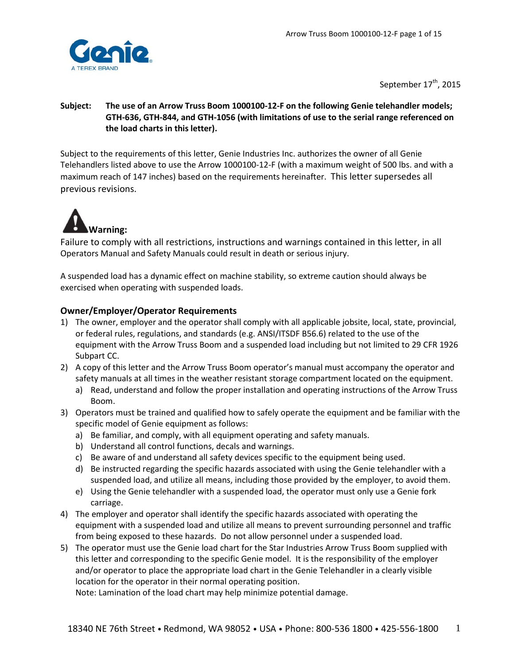

September 17<sup>th</sup>, 2015

### **Subject: The use of an Arrow Truss Boom 1000100-12-F on the following Genie telehandler models; GTH-636, GTH-844, and GTH-1056 (with limitations of use to the serial range referenced on the load charts in this letter).**

Subject to the requirements of this letter, Genie Industries Inc. authorizes the owner of all Genie Telehandlers listed above to use the Arrow 1000100-12-F (with a maximum weight of 500 lbs. and with a maximum reach of 147 inches) based on the requirements hereinafter. This letter supersedes all previous revisions.



Failure to comply with all restrictions, instructions and warnings contained in this letter, in all Operators Manual and Safety Manuals could result in death or serious injury.

A suspended load has a dynamic effect on machine stability, so extreme caution should always be exercised when operating with suspended loads.

## **Owner/Employer/Operator Requirements**

- 1) The owner, employer and the operator shall comply with all applicable jobsite, local, state, provincial, or federal rules, regulations, and standards (e.g. ANSI/ITSDF B56.6) related to the use of the equipment with the Arrow Truss Boom and a suspended load including but not limited to 29 CFR 1926 Subpart CC.
- 2) A copy of this letter and the Arrow Truss Boom operator's manual must accompany the operator and safety manuals at all times in the weather resistant storage compartment located on the equipment.
	- a) Read, understand and follow the proper installation and operating instructions of the Arrow Truss Boom.
- 3) Operators must be trained and qualified how to safely operate the equipment and be familiar with the specific model of Genie equipment as follows:
	- a) Be familiar, and comply, with all equipment operating and safety manuals.
	- b) Understand all control functions, decals and warnings.
	- c) Be aware of and understand all safety devices specific to the equipment being used.
	- d) Be instructed regarding the specific hazards associated with using the Genie telehandler with a suspended load, and utilize all means, including those provided by the employer, to avoid them.
	- e) Using the Genie telehandler with a suspended load, the operator must only use a Genie fork carriage.
- 4) The employer and operator shall identify the specific hazards associated with operating the equipment with a suspended load and utilize all means to prevent surrounding personnel and traffic from being exposed to these hazards. Do not allow personnel under a suspended load.
- 5) The operator must use the Genie load chart for the Star Industries Arrow Truss Boom supplied with this letter and corresponding to the specific Genie model. It is the responsibility of the employer and/or operator to place the appropriate load chart in the Genie Telehandler in a clearly visible location for the operator in their normal operating position.

Note: Lamination of the load chart may help minimize potential damage.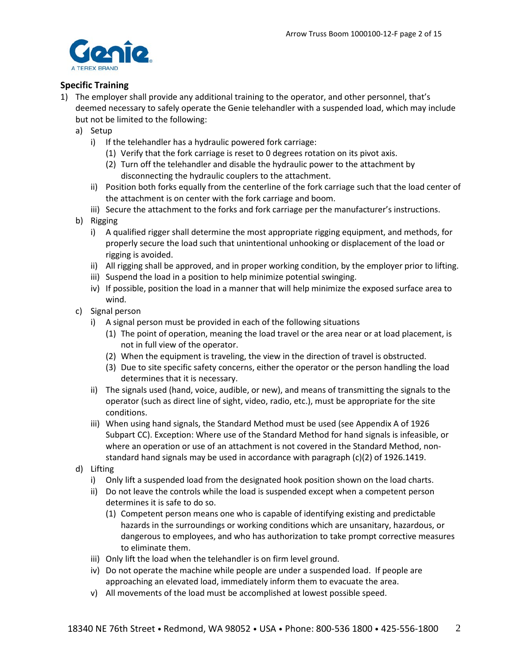

### **Specific Training**

- 1) The employer shall provide any additional training to the operator, and other personnel, that's deemed necessary to safely operate the Genie telehandler with a suspended load, which may include but not be limited to the following:
	- a) Setup
		- i) If the telehandler has a hydraulic powered fork carriage:
			- (1) Verify that the fork carriage is reset to 0 degrees rotation on its pivot axis.
			- (2) Turn off the telehandler and disable the hydraulic power to the attachment by disconnecting the hydraulic couplers to the attachment.
		- ii) Position both forks equally from the centerline of the fork carriage such that the load center of the attachment is on center with the fork carriage and boom.
		- iii) Secure the attachment to the forks and fork carriage per the manufacturer's instructions.
	- b) Rigging
		- i) A qualified rigger shall determine the most appropriate rigging equipment, and methods, for properly secure the load such that unintentional unhooking or displacement of the load or rigging is avoided.
		- ii) All rigging shall be approved, and in proper working condition, by the employer prior to lifting.
		- iii) Suspend the load in a position to help minimize potential swinging.
		- iv) If possible, position the load in a manner that will help minimize the exposed surface area to wind.
	- c) Signal person
		- i) A signal person must be provided in each of the following situations
			- (1) The point of operation, meaning the load travel or the area near or at load placement, is not in full view of the operator.
			- (2) When the equipment is traveling, the view in the direction of travel is obstructed.
			- (3) Due to site specific safety concerns, either the operator or the person handling the load determines that it is necessary.
		- ii) The signals used (hand, voice, audible, or new), and means of transmitting the signals to the operator (such as direct line of sight, video, radio, etc.), must be appropriate for the site conditions.
		- iii) When using hand signals, the Standard Method must be used (see Appendix A of 1926 Subpart CC). Exception: Where use of the Standard Method for hand signals is infeasible, or where an operation or use of an attachment is not covered in the Standard Method, nonstandard hand signals may be used in accordance with paragraph (c)(2) of 1926.1419.
	- d) Lifting
		- i) Only lift a suspended load from the designated hook position shown on the load charts.
		- ii) Do not leave the controls while the load is suspended except when a competent person determines it is safe to do so.
			- (1) Competent person means one who is capable of identifying existing and predictable hazards in the surroundings or working conditions which are unsanitary, hazardous, or dangerous to employees, and who has authorization to take prompt corrective measures to eliminate them.
		- iii) Only lift the load when the telehandler is on firm level ground.
		- iv) Do not operate the machine while people are under a suspended load. If people are approaching an elevated load, immediately inform them to evacuate the area.
		- v) All movements of the load must be accomplished at lowest possible speed.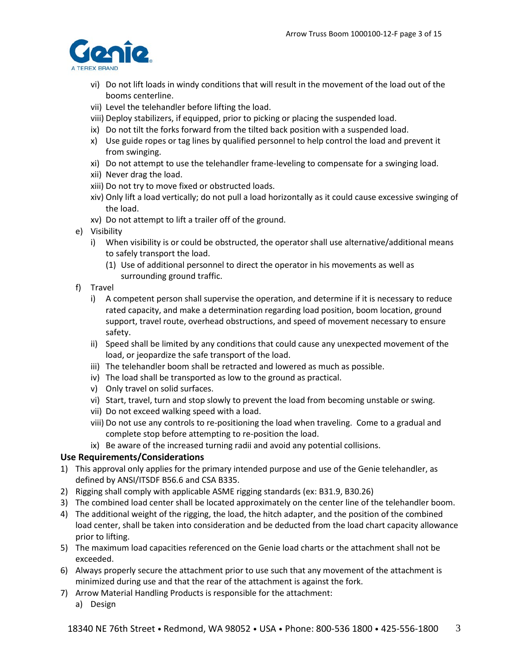

- vi) Do not lift loads in windy conditions that will result in the movement of the load out of the booms centerline.
- vii) Level the telehandler before lifting the load.
- viii) Deploy stabilizers, if equipped, prior to picking or placing the suspended load.
- ix) Do not tilt the forks forward from the tilted back position with a suspended load.
- x) Use guide ropes or tag lines by qualified personnel to help control the load and prevent it from swinging.
- xi) Do not attempt to use the telehandler frame-leveling to compensate for a swinging load.
- xii) Never drag the load.
- xiii) Do not try to move fixed or obstructed loads.
- xiv) Only lift a load vertically; do not pull a load horizontally as it could cause excessive swinging of the load.
- xv) Do not attempt to lift a trailer off of the ground.
- e) Visibility
	- i) When visibility is or could be obstructed, the operator shall use alternative/additional means to safely transport the load.
		- (1) Use of additional personnel to direct the operator in his movements as well as surrounding ground traffic.
- f) Travel
	- i) A competent person shall supervise the operation, and determine if it is necessary to reduce rated capacity, and make a determination regarding load position, boom location, ground support, travel route, overhead obstructions, and speed of movement necessary to ensure safety.
	- ii) Speed shall be limited by any conditions that could cause any unexpected movement of the load, or jeopardize the safe transport of the load.
	- iii) The telehandler boom shall be retracted and lowered as much as possible.
	- iv) The load shall be transported as low to the ground as practical.
	- v) Only travel on solid surfaces.
	- vi) Start, travel, turn and stop slowly to prevent the load from becoming unstable or swing.
	- vii) Do not exceed walking speed with a load.
	- viii) Do not use any controls to re-positioning the load when traveling. Come to a gradual and complete stop before attempting to re-position the load.
	- ix) Be aware of the increased turning radii and avoid any potential collisions.

## **Use Requirements/Considerations**

- 1) This approval only applies for the primary intended purpose and use of the Genie telehandler, as defined by ANSI/ITSDF B56.6 and CSA B335.
- 2) Rigging shall comply with applicable ASME rigging standards (ex: B31.9, B30.26)
- 3) The combined load center shall be located approximately on the center line of the telehandler boom.
- 4) The additional weight of the rigging, the load, the hitch adapter, and the position of the combined load center, shall be taken into consideration and be deducted from the load chart capacity allowance prior to lifting.
- 5) The maximum load capacities referenced on the Genie load charts or the attachment shall not be exceeded.
- 6) Always properly secure the attachment prior to use such that any movement of the attachment is minimized during use and that the rear of the attachment is against the fork.
- 7) Arrow Material Handling Products is responsible for the attachment:
	- a) Design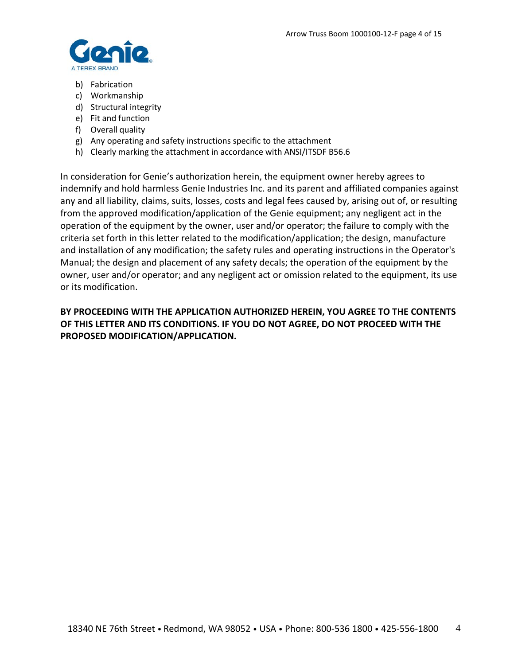

- b) Fabrication
- c) Workmanship
- d) Structural integrity
- e) Fit and function
- f) Overall quality
- g) Any operating and safety instructions specific to the attachment
- h) Clearly marking the attachment in accordance with ANSI/ITSDF B56.6

In consideration for Genie's authorization herein, the equipment owner hereby agrees to indemnify and hold harmless Genie Industries Inc. and its parent and affiliated companies against any and all liability, claims, suits, losses, costs and legal fees caused by, arising out of, or resulting from the approved modification/application of the Genie equipment; any negligent act in the operation of the equipment by the owner, user and/or operator; the failure to comply with the criteria set forth in this letter related to the modification/application; the design, manufacture and installation of any modification; the safety rules and operating instructions in the Operator's Manual; the design and placement of any safety decals; the operation of the equipment by the owner, user and/or operator; and any negligent act or omission related to the equipment, its use or its modification.

# **BY PROCEEDING WITH THE APPLICATION AUTHORIZED HEREIN, YOU AGREE TO THE CONTENTS OF THIS LETTER AND ITS CONDITIONS. IF YOU DO NOT AGREE, DO NOT PROCEED WITH THE PROPOSED MODIFICATION/APPLICATION.**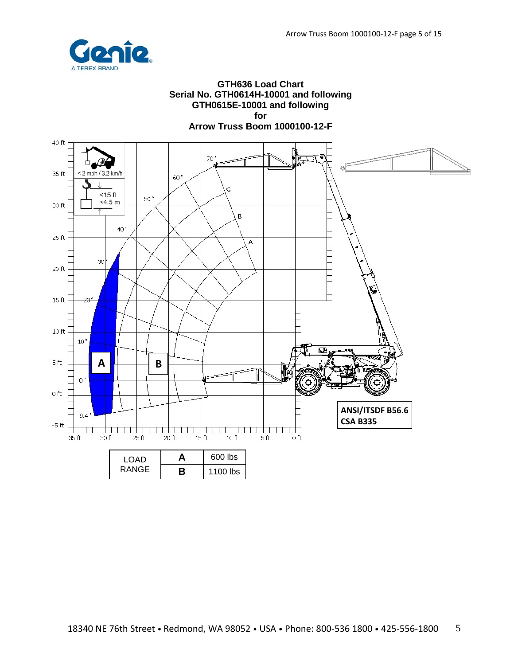

### **GTH636 Load Chart Serial No. GTH0614H-10001 and following GTH0615E-10001 and following for**

**Arrow Truss Boom 1000100-12-F**

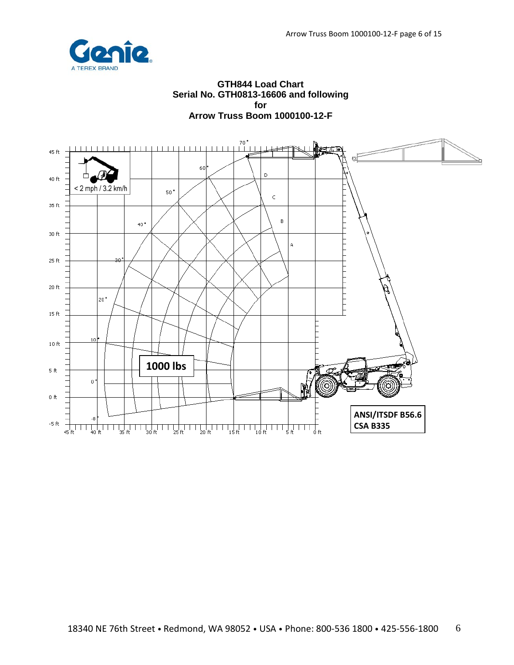

#### **GTH844 Load Chart Serial No. GTH0813-16606 and following for Arrow Truss Boom 1000100-12-F**

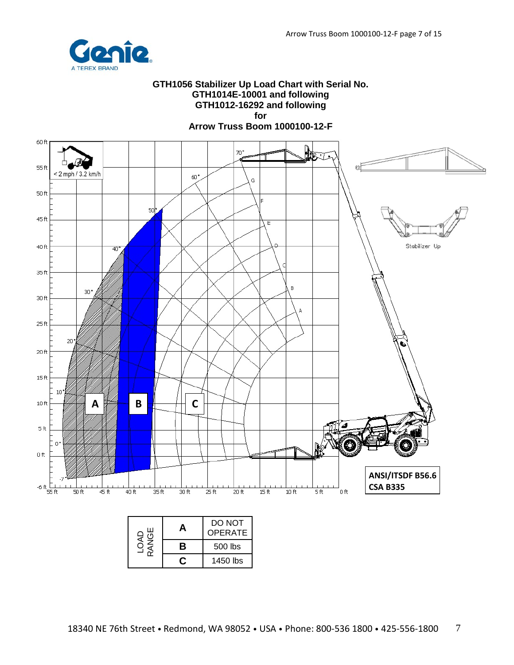

#### **GTH1056 Stabilizer Up Load Chart with Serial No. GTH1014E-10001 and following GTH1012-16292 and following for**

**Arrow Truss Boom 1000100-12-F**